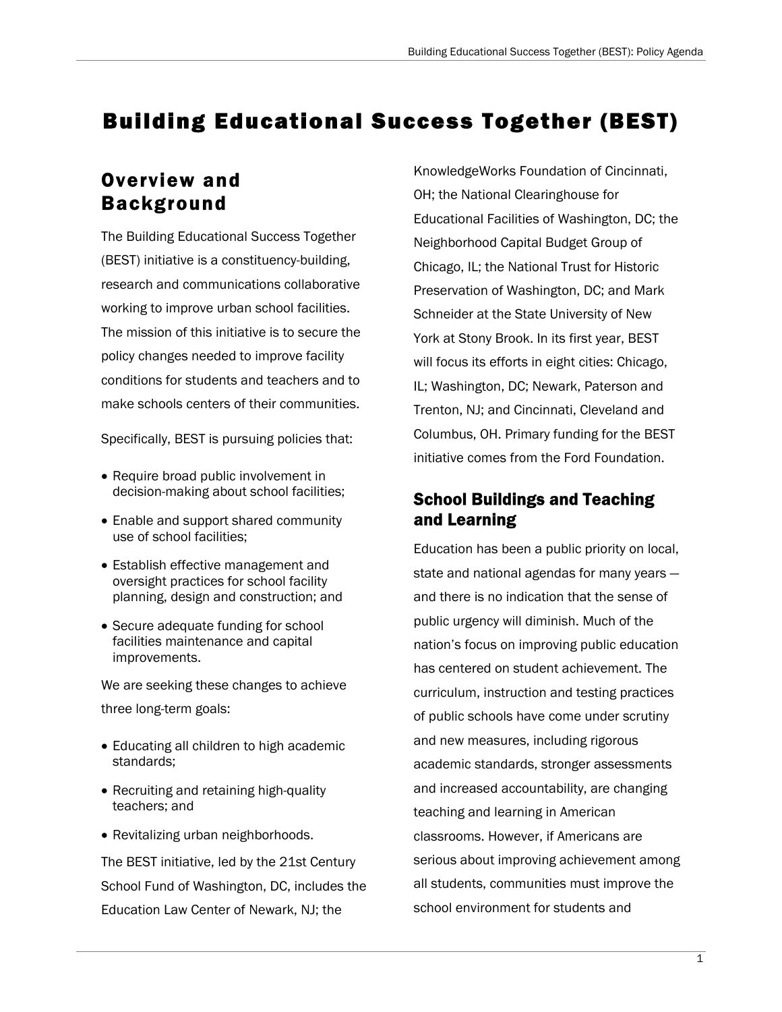# Building Educational Success Together (BEST)

# Overview and Background

The Building Educational Success Together (BEST) initiative is a constituency-building, research and communications collaborative working to improve urban school facilities. The mission of this initiative is to secure the policy changes needed to improve facility conditions for students and teachers and to make schools centers of their communities.

Specifically, BEST is pursuing policies that:

- Require broad public involvement in decision-making about school facilities;
- Enable and support shared community use of school facilities;
- Establish effective management and oversight practices for school facility planning, design and construction; and
- Secure adequate funding for school facilities maintenance and capital improvements.

We are seeking these changes to achieve three long-term goals:

- Educating all children to high academic standards;
- Recruiting and retaining high-quality teachers; and
- Revitalizing urban neighborhoods.

The BEST initiative, led by the 21st Century School Fund of Washington, DC, includes the Education Law Center of Newark, NJ; the

KnowledgeWorks Foundation of Cincinnati, OH; the National Clearinghouse for Educational Facilities of Washington, DC; the Neighborhood Capital Budget Group of Chicago, IL; the National Trust for Historic Preservation of Washington, DC; and Mark Schneider at the State University of New York at Stony Brook. In its first year, BEST will focus its efforts in eight cities: Chicago, IL; Washington, DC; Newark, Paterson and Trenton, NJ; and Cincinnati, Cleveland and Columbus, OH. Primary funding for the BEST initiative comes from the Ford Foundation.

# School Buildings and Teaching and Learning

Education has been a public priority on local, state and national agendas for many years and there is no indication that the sense of public urgency will diminish. Much of the nation's focus on improving public education has centered on student achievement. The curriculum, instruction and testing practices of public schools have come under scrutiny and new measures, including rigorous academic standards, stronger assessments and increased accountability, are changing teaching and learning in American classrooms. However, if Americans are serious about improving achievement among all students, communities must improve the school environment for students and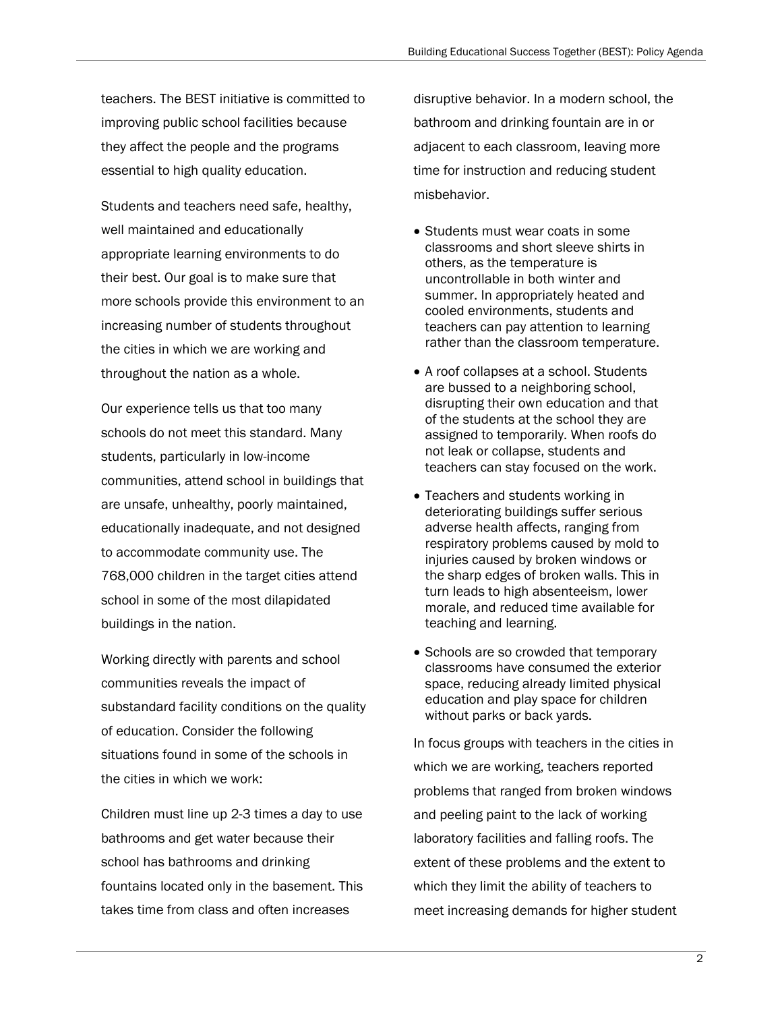teachers. The BEST initiative is committed to improving public school facilities because they affect the people and the programs essential to high quality education.

Students and teachers need safe, healthy, well maintained and educationally appropriate learning environments to do their best. Our goal is to make sure that more schools provide this environment to an increasing number of students throughout the cities in which we are working and throughout the nation as a whole.

Our experience tells us that too many schools do not meet this standard. Many students, particularly in low-income communities, attend school in buildings that are unsafe, unhealthy, poorly maintained, educationally inadequate, and not designed to accommodate community use. The 768,000 children in the target cities attend school in some of the most dilapidated buildings in the nation.

Working directly with parents and school communities reveals the impact of substandard facility conditions on the quality of education. Consider the following situations found in some of the schools in the cities in which we work:

Children must line up 2-3 times a day to use bathrooms and get water because their school has bathrooms and drinking fountains located only in the basement. This takes time from class and often increases

disruptive behavior. In a modern school, the bathroom and drinking fountain are in or adjacent to each classroom, leaving more time for instruction and reducing student misbehavior.

- Students must wear coats in some classrooms and short sleeve shirts in others, as the temperature is uncontrollable in both winter and summer. In appropriately heated and cooled environments, students and teachers can pay attention to learning rather than the classroom temperature.
- A roof collapses at a school. Students are bussed to a neighboring school, disrupting their own education and that of the students at the school they are assigned to temporarily. When roofs do not leak or collapse, students and teachers can stay focused on the work.
- Teachers and students working in deteriorating buildings suffer serious adverse health affects, ranging from respiratory problems caused by mold to injuries caused by broken windows or the sharp edges of broken walls. This in turn leads to high absenteeism, lower morale, and reduced time available for teaching and learning.
- Schools are so crowded that temporary classrooms have consumed the exterior space, reducing already limited physical education and play space for children without parks or back yards.

In focus groups with teachers in the cities in which we are working, teachers reported problems that ranged from broken windows and peeling paint to the lack of working laboratory facilities and falling roofs. The extent of these problems and the extent to which they limit the ability of teachers to meet increasing demands for higher student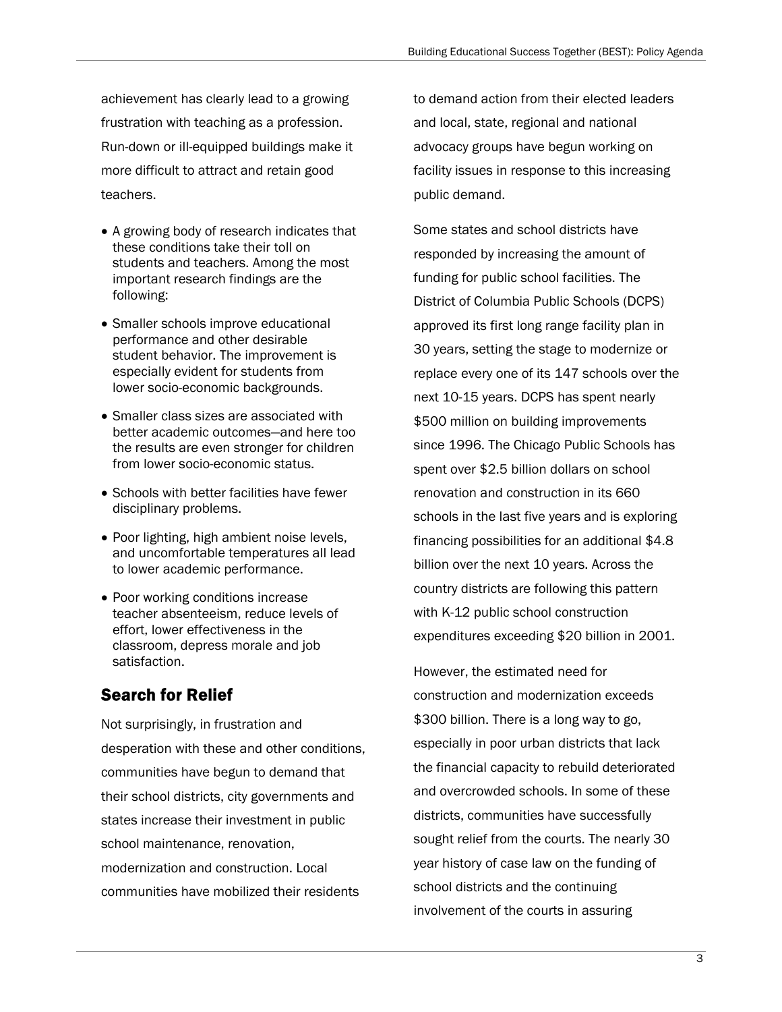achievement has clearly lead to a growing frustration with teaching as a profession. Run-down or ill-equipped buildings make it more difficult to attract and retain good teachers.

- A growing body of research indicates that these conditions take their toll on students and teachers. Among the most important research findings are the following:
- Smaller schools improve educational performance and other desirable student behavior. The improvement is especially evident for students from lower socio-economic backgrounds.
- Smaller class sizes are associated with better academic outcomes—and here too the results are even stronger for children from lower socio-economic status.
- Schools with better facilities have fewer disciplinary problems.
- Poor lighting, high ambient noise levels, and uncomfortable temperatures all lead to lower academic performance.
- Poor working conditions increase teacher absenteeism, reduce levels of effort, lower effectiveness in the classroom, depress morale and job satisfaction.

# Search for Relief

Not surprisingly, in frustration and desperation with these and other conditions, communities have begun to demand that their school districts, city governments and states increase their investment in public school maintenance, renovation, modernization and construction. Local communities have mobilized their residents

to demand action from their elected leaders and local, state, regional and national advocacy groups have begun working on facility issues in response to this increasing public demand.

Some states and school districts have responded by increasing the amount of funding for public school facilities. The District of Columbia Public Schools (DCPS) approved its first long range facility plan in 30 years, setting the stage to modernize or replace every one of its 147 schools over the next 10-15 years. DCPS has spent nearly \$500 million on building improvements since 1996. The Chicago Public Schools has spent over \$2.5 billion dollars on school renovation and construction in its 660 schools in the last five years and is exploring financing possibilities for an additional \$4.8 billion over the next 10 years. Across the country districts are following this pattern with K-12 public school construction expenditures exceeding \$20 billion in 2001.

However, the estimated need for construction and modernization exceeds \$300 billion. There is a long way to go, especially in poor urban districts that lack the financial capacity to rebuild deteriorated and overcrowded schools. In some of these districts, communities have successfully sought relief from the courts. The nearly 30 year history of case law on the funding of school districts and the continuing involvement of the courts in assuring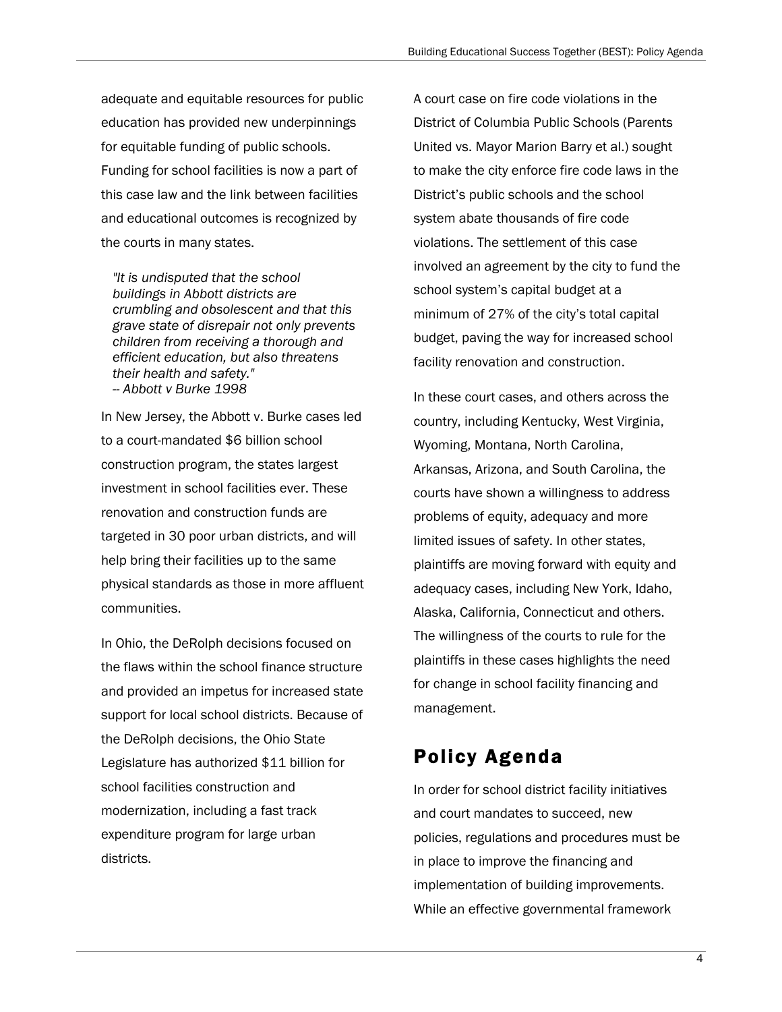adequate and equitable resources for public education has provided new underpinnings for equitable funding of public schools. Funding for school facilities is now a part of this case law and the link between facilities and educational outcomes is recognized by the courts in many states.

*"It is undisputed that the school buildings in Abbott districts are crumbling and obsolescent and that this grave state of disrepair not only prevents children from receiving a thorough and efficient education, but also threatens their health and safety." -- Abbott v Burke 1998* 

In New Jersey, the Abbott v. Burke cases led to a court-mandated \$6 billion school construction program, the states largest investment in school facilities ever. These renovation and construction funds are targeted in 30 poor urban districts, and will help bring their facilities up to the same physical standards as those in more affluent communities.

In Ohio, the DeRolph decisions focused on the flaws within the school finance structure and provided an impetus for increased state support for local school districts. Because of the DeRolph decisions, the Ohio State Legislature has authorized \$11 billion for school facilities construction and modernization, including a fast track expenditure program for large urban districts.

A court case on fire code violations in the District of Columbia Public Schools (Parents United vs. Mayor Marion Barry et al.) sought to make the city enforce fire code laws in the District's public schools and the school system abate thousands of fire code violations. The settlement of this case involved an agreement by the city to fund the school system's capital budget at a minimum of 27% of the city's total capital budget, paving the way for increased school facility renovation and construction.

In these court cases, and others across the country, including Kentucky, West Virginia, Wyoming, Montana, North Carolina, Arkansas, Arizona, and South Carolina, the courts have shown a willingness to address problems of equity, adequacy and more limited issues of safety. In other states, plaintiffs are moving forward with equity and adequacy cases, including New York, Idaho, Alaska, California, Connecticut and others. The willingness of the courts to rule for the plaintiffs in these cases highlights the need for change in school facility financing and management.

# Policy Agenda

In order for school district facility initiatives and court mandates to succeed, new policies, regulations and procedures must be in place to improve the financing and implementation of building improvements. While an effective governmental framework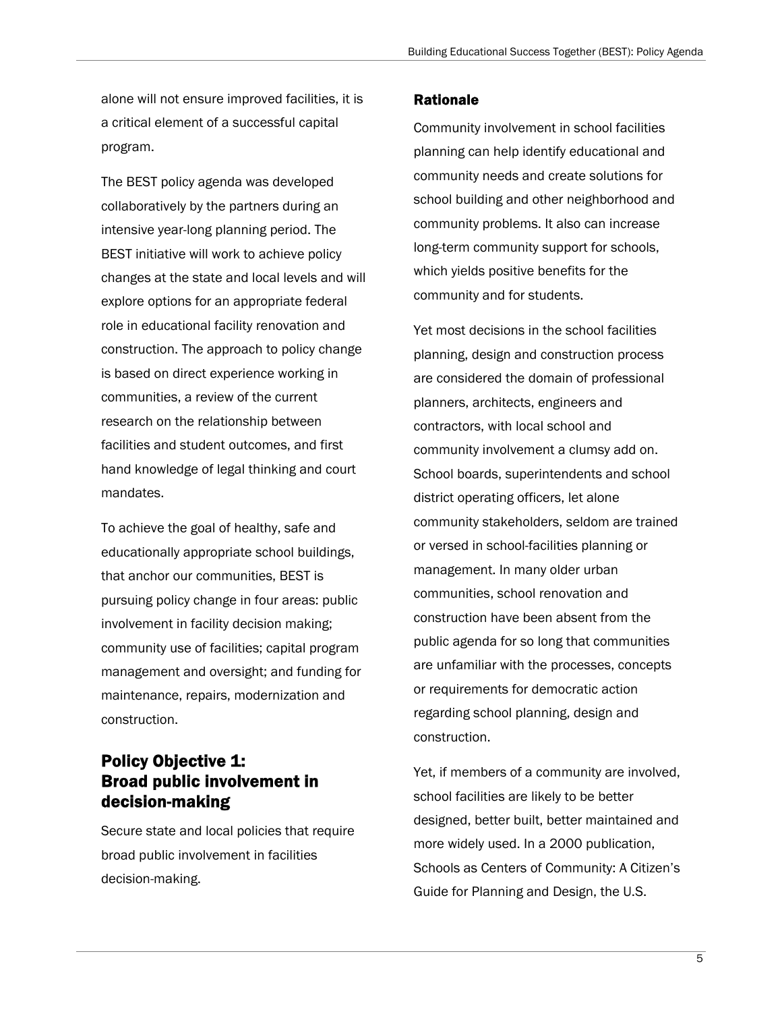alone will not ensure improved facilities, it is a critical element of a successful capital program.

The BEST policy agenda was developed collaboratively by the partners during an intensive year-long planning period. The BEST initiative will work to achieve policy changes at the state and local levels and will explore options for an appropriate federal role in educational facility renovation and construction. The approach to policy change is based on direct experience working in communities, a review of the current research on the relationship between facilities and student outcomes, and first hand knowledge of legal thinking and court mandates.

To achieve the goal of healthy, safe and educationally appropriate school buildings, that anchor our communities, BEST is pursuing policy change in four areas: public involvement in facility decision making; community use of facilities; capital program management and oversight; and funding for maintenance, repairs, modernization and construction.

# Policy Objective 1: Broad public involvement in decision-making

Secure state and local policies that require broad public involvement in facilities decision-making.

### Rationale

Community involvement in school facilities planning can help identify educational and community needs and create solutions for school building and other neighborhood and community problems. It also can increase long-term community support for schools, which yields positive benefits for the community and for students.

Yet most decisions in the school facilities planning, design and construction process are considered the domain of professional planners, architects, engineers and contractors, with local school and community involvement a clumsy add on. School boards, superintendents and school district operating officers, let alone community stakeholders, seldom are trained or versed in school-facilities planning or management. In many older urban communities, school renovation and construction have been absent from the public agenda for so long that communities are unfamiliar with the processes, concepts or requirements for democratic action regarding school planning, design and construction.

Yet, if members of a community are involved, school facilities are likely to be better designed, better built, better maintained and more widely used. In a 2000 publication, Schools as Centers of Community: A Citizen's Guide for Planning and Design, the U.S.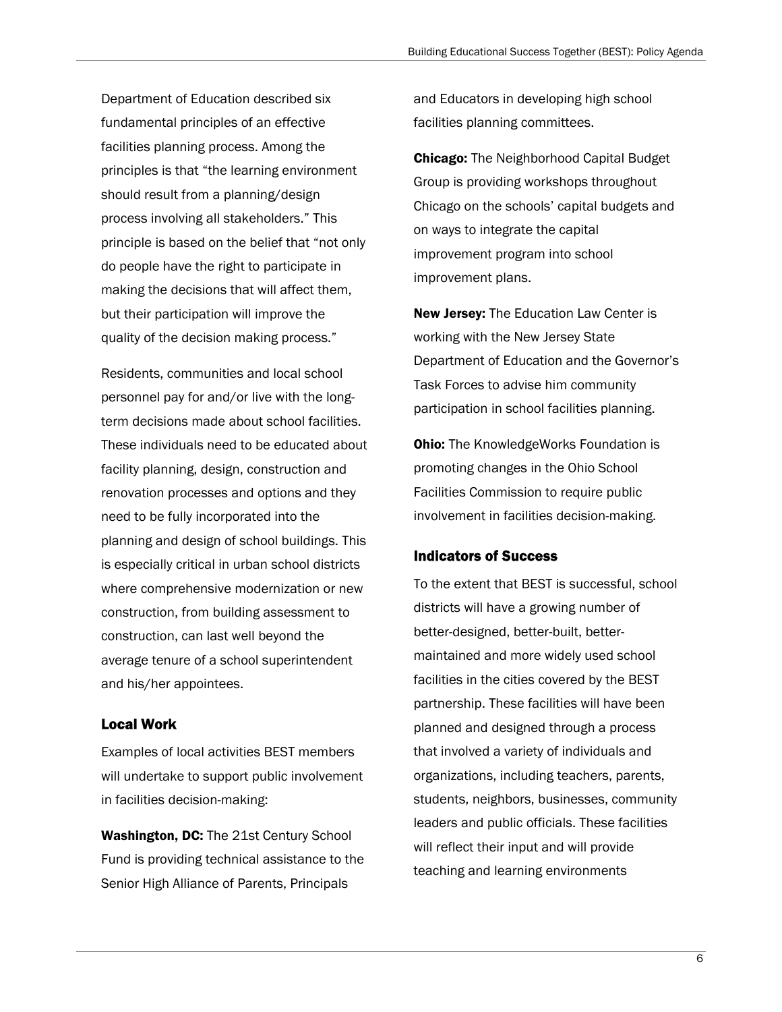Department of Education described six fundamental principles of an effective facilities planning process. Among the principles is that "the learning environment should result from a planning/design process involving all stakeholders." This principle is based on the belief that "not only do people have the right to participate in making the decisions that will affect them, but their participation will improve the quality of the decision making process."

Residents, communities and local school personnel pay for and/or live with the longterm decisions made about school facilities. These individuals need to be educated about facility planning, design, construction and renovation processes and options and they need to be fully incorporated into the planning and design of school buildings. This is especially critical in urban school districts where comprehensive modernization or new construction, from building assessment to construction, can last well beyond the average tenure of a school superintendent and his/her appointees.

### Local Work

Examples of local activities BEST members will undertake to support public involvement in facilities decision-making:

Washington, DC: The 21st Century School Fund is providing technical assistance to the Senior High Alliance of Parents, Principals

and Educators in developing high school facilities planning committees.

**Chicago:** The Neighborhood Capital Budget Group is providing workshops throughout Chicago on the schools' capital budgets and on ways to integrate the capital improvement program into school improvement plans.

New Jersey: The Education Law Center is working with the New Jersey State Department of Education and the Governor's Task Forces to advise him community participation in school facilities planning.

**Ohio:** The KnowledgeWorks Foundation is promoting changes in the Ohio School Facilities Commission to require public involvement in facilities decision-making.

### Indicators of Success

To the extent that BEST is successful, school districts will have a growing number of better-designed, better-built, bettermaintained and more widely used school facilities in the cities covered by the BEST partnership. These facilities will have been planned and designed through a process that involved a variety of individuals and organizations, including teachers, parents, students, neighbors, businesses, community leaders and public officials. These facilities will reflect their input and will provide teaching and learning environments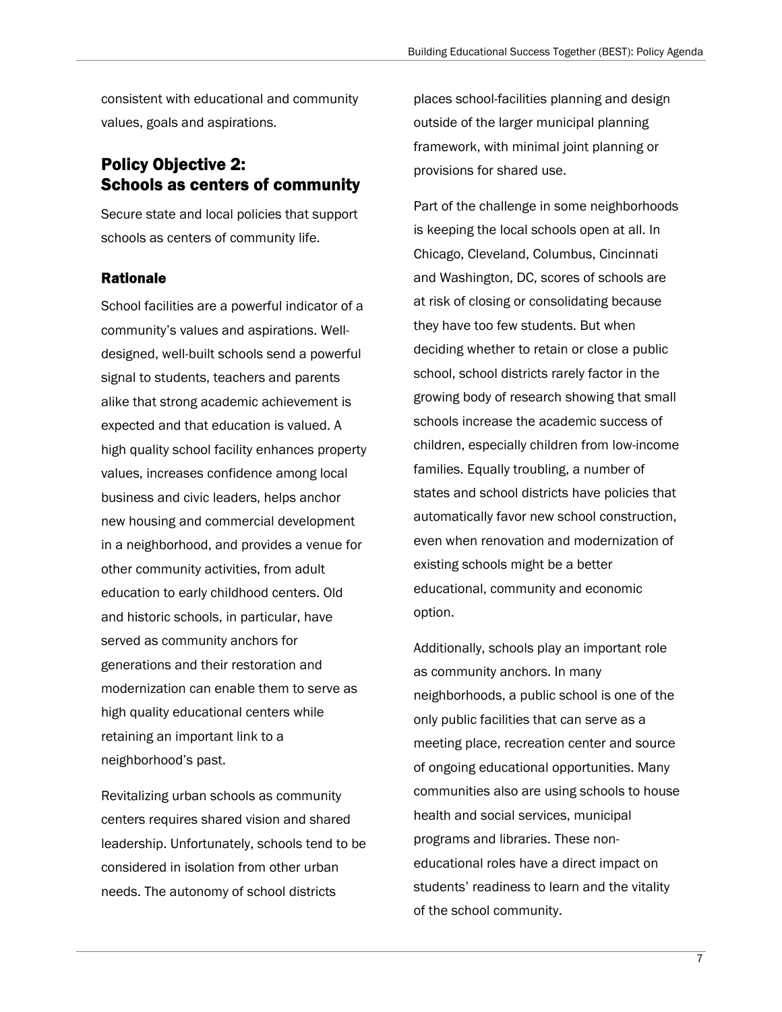consistent with educational and community values, goals and aspirations.

# Policy Objective 2: Schools as centers of community

Secure state and local policies that support schools as centers of community life.

### Rationale

School facilities are a powerful indicator of a community's values and aspirations. Welldesigned, well-built schools send a powerful signal to students, teachers and parents alike that strong academic achievement is expected and that education is valued. A high quality school facility enhances property values, increases confidence among local business and civic leaders, helps anchor new housing and commercial development in a neighborhood, and provides a venue for other community activities, from adult education to early childhood centers. Old and historic schools, in particular, have served as community anchors for generations and their restoration and modernization can enable them to serve as high quality educational centers while retaining an important link to a neighborhood's past.

Revitalizing urban schools as community centers requires shared vision and shared leadership. Unfortunately, schools tend to be considered in isolation from other urban needs. The autonomy of school districts

places school-facilities planning and design outside of the larger municipal planning framework, with minimal joint planning or provisions for shared use.

Part of the challenge in some neighborhoods is keeping the local schools open at all. In Chicago, Cleveland, Columbus, Cincinnati and Washington, DC, scores of schools are at risk of closing or consolidating because they have too few students. But when deciding whether to retain or close a public school, school districts rarely factor in the growing body of research showing that small schools increase the academic success of children, especially children from low-income families. Equally troubling, a number of states and school districts have policies that automatically favor new school construction, even when renovation and modernization of existing schools might be a better educational, community and economic option.

Additionally, schools play an important role as community anchors. In many neighborhoods, a public school is one of the only public facilities that can serve as a meeting place, recreation center and source of ongoing educational opportunities. Many communities also are using schools to house health and social services, municipal programs and libraries. These noneducational roles have a direct impact on students' readiness to learn and the vitality of the school community.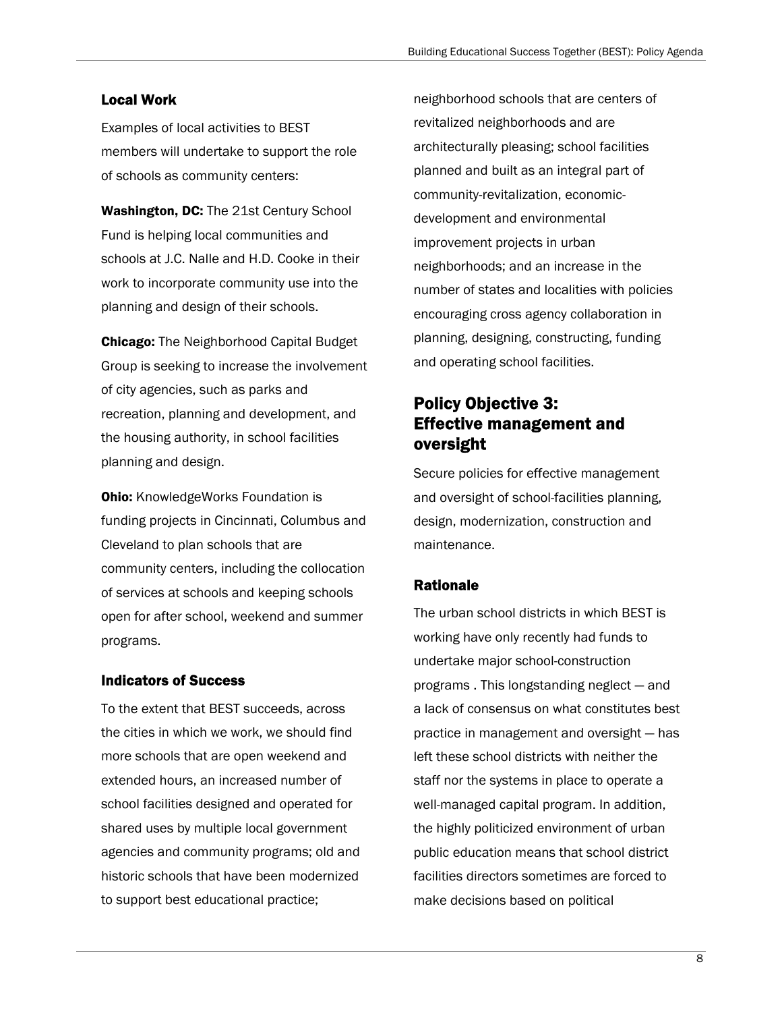## Local Work

Examples of local activities to BEST members will undertake to support the role of schools as community centers:

Washington, DC: The 21st Century School Fund is helping local communities and schools at J.C. Nalle and H.D. Cooke in their work to incorporate community use into the planning and design of their schools.

Chicago: The Neighborhood Capital Budget Group is seeking to increase the involvement of city agencies, such as parks and recreation, planning and development, and the housing authority, in school facilities planning and design.

**Ohio:** KnowledgeWorks Foundation is funding projects in Cincinnati, Columbus and Cleveland to plan schools that are community centers, including the collocation of services at schools and keeping schools open for after school, weekend and summer programs.

## Indicators of Success

To the extent that BEST succeeds, across the cities in which we work, we should find more schools that are open weekend and extended hours, an increased number of school facilities designed and operated for shared uses by multiple local government agencies and community programs; old and historic schools that have been modernized to support best educational practice;

neighborhood schools that are centers of revitalized neighborhoods and are architecturally pleasing; school facilities planned and built as an integral part of community-revitalization, economicdevelopment and environmental improvement projects in urban neighborhoods; and an increase in the number of states and localities with policies encouraging cross agency collaboration in planning, designing, constructing, funding and operating school facilities.

# Policy Objective 3: Effective management and oversight

Secure policies for effective management and oversight of school-facilities planning, design, modernization, construction and maintenance.

## Rationale

The urban school districts in which BEST is working have only recently had funds to undertake major school-construction programs . This longstanding neglect — and a lack of consensus on what constitutes best practice in management and oversight — has left these school districts with neither the staff nor the systems in place to operate a well-managed capital program. In addition, the highly politicized environment of urban public education means that school district facilities directors sometimes are forced to make decisions based on political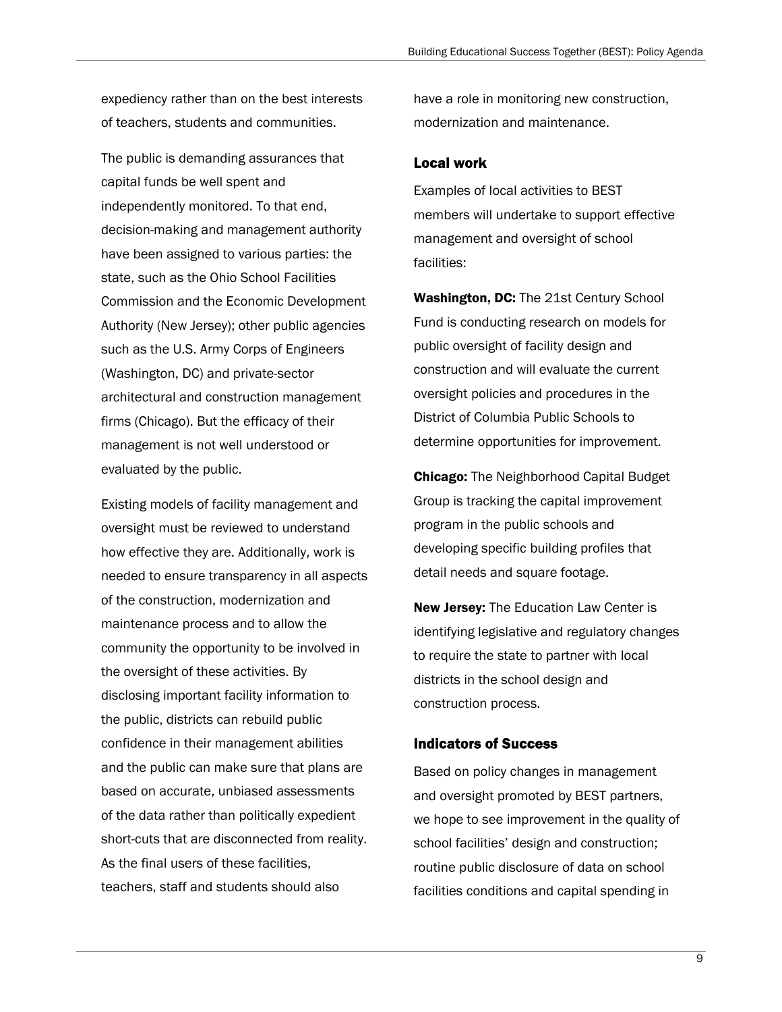expediency rather than on the best interests of teachers, students and communities.

The public is demanding assurances that capital funds be well spent and independently monitored. To that end, decision-making and management authority have been assigned to various parties: the state, such as the Ohio School Facilities Commission and the Economic Development Authority (New Jersey); other public agencies such as the U.S. Army Corps of Engineers (Washington, DC) and private-sector architectural and construction management firms (Chicago). But the efficacy of their management is not well understood or evaluated by the public.

Existing models of facility management and oversight must be reviewed to understand how effective they are. Additionally, work is needed to ensure transparency in all aspects of the construction, modernization and maintenance process and to allow the community the opportunity to be involved in the oversight of these activities. By disclosing important facility information to the public, districts can rebuild public confidence in their management abilities and the public can make sure that plans are based on accurate, unbiased assessments of the data rather than politically expedient short-cuts that are disconnected from reality. As the final users of these facilities, teachers, staff and students should also

have a role in monitoring new construction, modernization and maintenance.

### Local work

Examples of local activities to BEST members will undertake to support effective management and oversight of school facilities:

Washington, DC: The 21st Century School Fund is conducting research on models for public oversight of facility design and construction and will evaluate the current oversight policies and procedures in the District of Columbia Public Schools to determine opportunities for improvement.

**Chicago:** The Neighborhood Capital Budget Group is tracking the capital improvement program in the public schools and developing specific building profiles that detail needs and square footage.

New Jersey: The Education Law Center is identifying legislative and regulatory changes to require the state to partner with local districts in the school design and construction process.

### Indicators of Success

Based on policy changes in management and oversight promoted by BEST partners, we hope to see improvement in the quality of school facilities' design and construction; routine public disclosure of data on school facilities conditions and capital spending in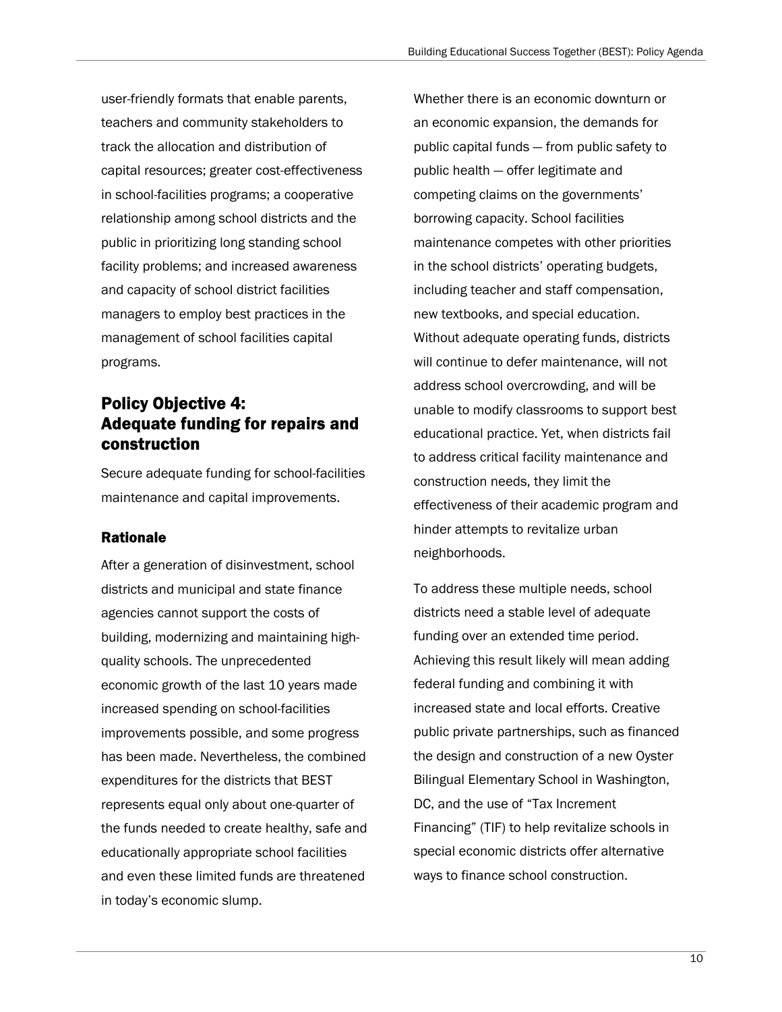user-friendly formats that enable parents, teachers and community stakeholders to track the allocation and distribution of capital resources; greater cost-effectiveness in school-facilities programs; a cooperative relationship among school districts and the public in prioritizing long standing school facility problems; and increased awareness and capacity of school district facilities managers to employ best practices in the management of school facilities capital programs.

# Policy Objective 4: Adequate funding for repairs and construction

Secure adequate funding for school-facilities maintenance and capital improvements.

## Rationale

After a generation of disinvestment, school districts and municipal and state finance agencies cannot support the costs of building, modernizing and maintaining highquality schools. The unprecedented economic growth of the last 10 years made increased spending on school-facilities improvements possible, and some progress has been made. Nevertheless, the combined expenditures for the districts that BEST represents equal only about one-quarter of the funds needed to create healthy, safe and educationally appropriate school facilities and even these limited funds are threatened in today's economic slump.

Whether there is an economic downturn or an economic expansion, the demands for public capital funds — from public safety to public health — offer legitimate and competing claims on the governments' borrowing capacity. School facilities maintenance competes with other priorities in the school districts' operating budgets, including teacher and staff compensation, new textbooks, and special education. Without adequate operating funds, districts will continue to defer maintenance, will not address school overcrowding, and will be unable to modify classrooms to support best educational practice. Yet, when districts fail to address critical facility maintenance and construction needs, they limit the effectiveness of their academic program and hinder attempts to revitalize urban neighborhoods.

To address these multiple needs, school districts need a stable level of adequate funding over an extended time period. Achieving this result likely will mean adding federal funding and combining it with increased state and local efforts. Creative public private partnerships, such as financed the design and construction of a new Oyster Bilingual Elementary School in Washington, DC, and the use of "Tax Increment Financing" (TIF) to help revitalize schools in special economic districts offer alternative ways to finance school construction.